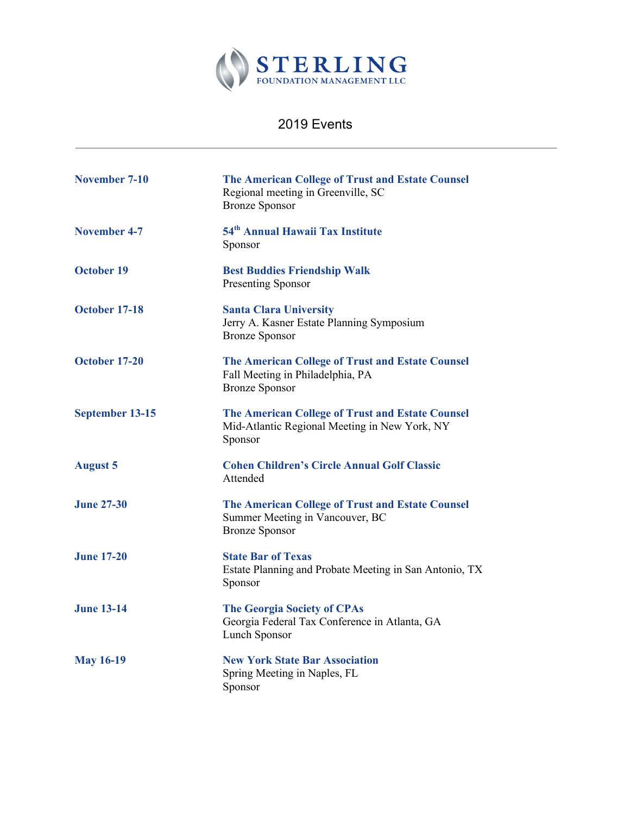

## 2019 Events

| <b>November 7-10</b> | <b>The American College of Trust and Estate Counsel</b><br>Regional meeting in Greenville, SC<br><b>Bronze Sponsor</b> |
|----------------------|------------------------------------------------------------------------------------------------------------------------|
| <b>November 4-7</b>  | 54 <sup>th</sup> Annual Hawaii Tax Institute<br>Sponsor                                                                |
| <b>October 19</b>    | <b>Best Buddies Friendship Walk</b><br><b>Presenting Sponsor</b>                                                       |
| October 17-18        | <b>Santa Clara University</b><br>Jerry A. Kasner Estate Planning Symposium<br><b>Bronze Sponsor</b>                    |
| October 17-20        | <b>The American College of Trust and Estate Counsel</b><br>Fall Meeting in Philadelphia, PA<br><b>Bronze Sponsor</b>   |
| September 13-15      | <b>The American College of Trust and Estate Counsel</b><br>Mid-Atlantic Regional Meeting in New York, NY<br>Sponsor    |
| <b>August 5</b>      | <b>Cohen Children's Circle Annual Golf Classic</b><br>Attended                                                         |
| <b>June 27-30</b>    | <b>The American College of Trust and Estate Counsel</b><br>Summer Meeting in Vancouver, BC<br><b>Bronze Sponsor</b>    |
| <b>June 17-20</b>    | <b>State Bar of Texas</b><br>Estate Planning and Probate Meeting in San Antonio, TX<br>Sponsor                         |
| <b>June 13-14</b>    | <b>The Georgia Society of CPAs</b><br>Georgia Federal Tax Conference in Atlanta, GA<br>Lunch Sponsor                   |
| <b>May 16-19</b>     | <b>New York State Bar Association</b><br>Spring Meeting in Naples, FL<br>Sponsor                                       |